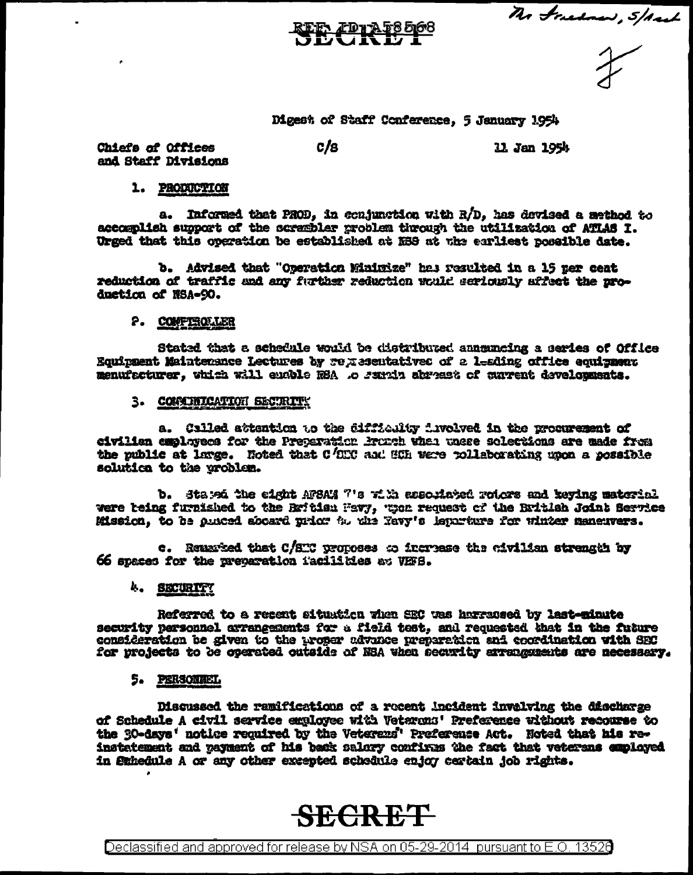The Freehow, 5/And

Digest of Staff Conference, 5 January 1954

Chiefs of Offices and Staff Divisions  $c/s$ 

11 Jan 1954

### 1. PRODUCTION

a. Informed that PROD, in conjunction with R/D, has devised a method to accomplish support of the scrembler problem through the utilization of ATLAS I. Urged that this operation be established at MHS at the equilest possible date.

b. Advised that "Operation Minimize" has resulted in a 15 per ceat reduction of traffic and any further reduction would seriously affect the production of NSA-90.

### 2. COMPTROLLER

Stated that a schedule would be distributed annumeing a series of Office Equipment Maintenance Lectures by regresentatives of a lealing office equipment menufacturer. which will euchle NBA to samin abreast of current developments.

### 3. COMMINICATION SECURITY

a. Called attention to the difficulty involved in the procurement of civilian employees for the Preparation Bronch what unsee solections are made from the public at large. Noted that C/CIC and SCh were rollaborating upon a possible solutica to the problem.

b. Stated the eight AFSAM 7's with associated rotors and keying material were being furnished to the Britism Wavy, when request of the British Joint Service Mission, to be punced aboard prior to the Navy's leperture for winter maneuvers.

c. Remarked that C/STC proposes to increase the civilian strength by 66 spaces for the preparation facilities at VEFS.

### 4. SECURITY

Referred to a recent situation when SEC was harraceed by last-minute security personnel arrangements for a field test, and requested that in the future consideration be given to the proper advance preparation and coordination with SEC for projects to be operated outside of NSA when security arranguments are necessary.

### 5. PERSONNEL

Discussed the ramifications of a recent incident invalving the discharge of Schedule A civil service exployee with Veterons' Preference without recourse to the SO-days' notice required by the Veterans' Preference Act. Noted that his reinstatement and payment of his back salery confirms the fact that veterans employed in Swhedule A or any other excepted schedule enjoy certain job rights.

# **SECRET**

Declassified and approved for release by NSA on 05-29-2014 pursuant to E.O. 13520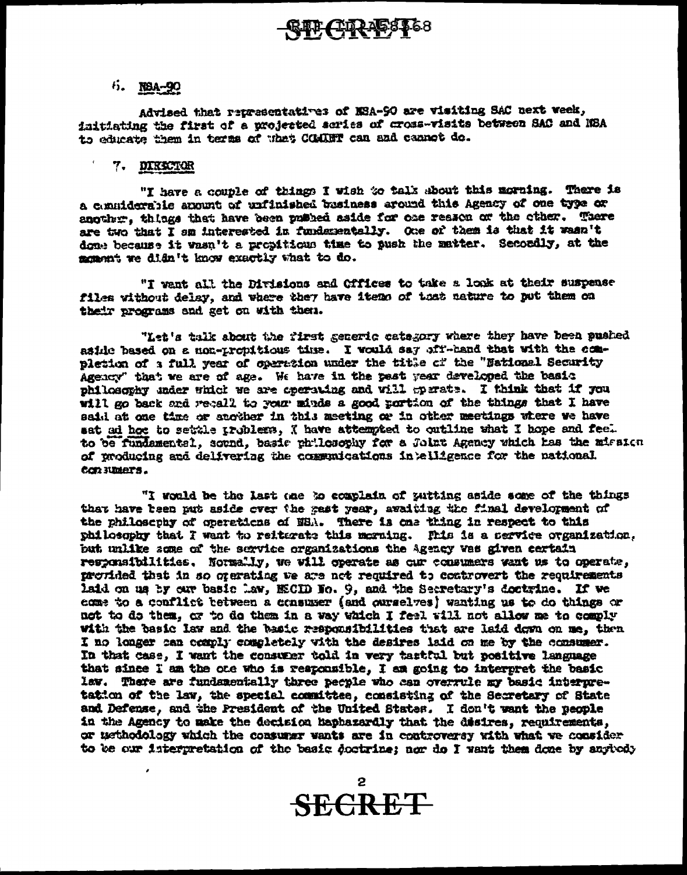### **GIF CIR-158168**

### 5. NBA-90

Advised that representatives of NSA-90 are visiting SAC next week, initiating the first of a projected scries of cross-visits between SAC and NBA to educate them in terms of what COMBT can and cannot do.

#### 7. DIRKTOR

"I have a couple of things I wish to talk about this morning. There is a considerable anount of unfinished business around this Agency of one type or another, things that have been publed saide for one reason of the other. There are two that I am interested in fundamentally. One of them is that it wasn't done because it wasn't a propitious time to push the matter. Secondly, at the monent we didn't know exactly what to do.

"I want all the Divisions and Offices to take a look at their suspense files without delay, and where they have items of that nature to put them on their programs and get on with them.

"Let's talk about the first generic category where they have been pushed aside based on a non-tropitious time. I would say off-hand that with the completion of a full year of operation under the title of the "National Security Agency" that we are of age. We have in the past year developed the basic philosophy under which we are operating and will operate. I think that if you will go back and recall to your minds a good portion of the things that I have said at one time or another in this meeting or in other meetings where we have sat ad hot to settle problems, I have attempted to outline what I hope and feel to be fundamental, sound, basic philosophy for a Jolnt Agency which has the mission of producing and delivering the communications intelligence for the national con numers.

"I would be the last one to complain of putting aside some of the things that have been put aside over the gast year, avaiting the final development of the philosophy of operations of NSA. There is one thing in respect to this philosophy that I want to reiterate this morning. This is a service organization, but unlike some of the service organizations the Agency was given certain responsibilities. Normally, we will operate as our consumers want us to operate, provided that in so organizes we are not required to controvert the requirements laid on us by our basic law, MECID No. 9, and the Secretary's doctrine. If we come to a conflict between a consumer (and ourselves) wanting us to do things or not to do them, or to do them in a way which I feel will not allow me to comply with the basic law and the basic responsibilities that are laid down on me, then I no longer can comply completely with the desires laid on me by the consumer. In that case, I want the consumer told in very tastful but positive language that since I am the one who is responsible, I am going to interpret the basic law. There are fundamentally three people who can overrule my basic interpretation of the law, the special committee, consisting of the Secretary of State and Defense, and the President of the United States. I don't want the people in the Agency to make the decision haphazardly that the disires, requirements, or methodology which the consumer wants are in controversy with what we consider to be our interpretation of the basic doctrine; nor do I want them done by anytody

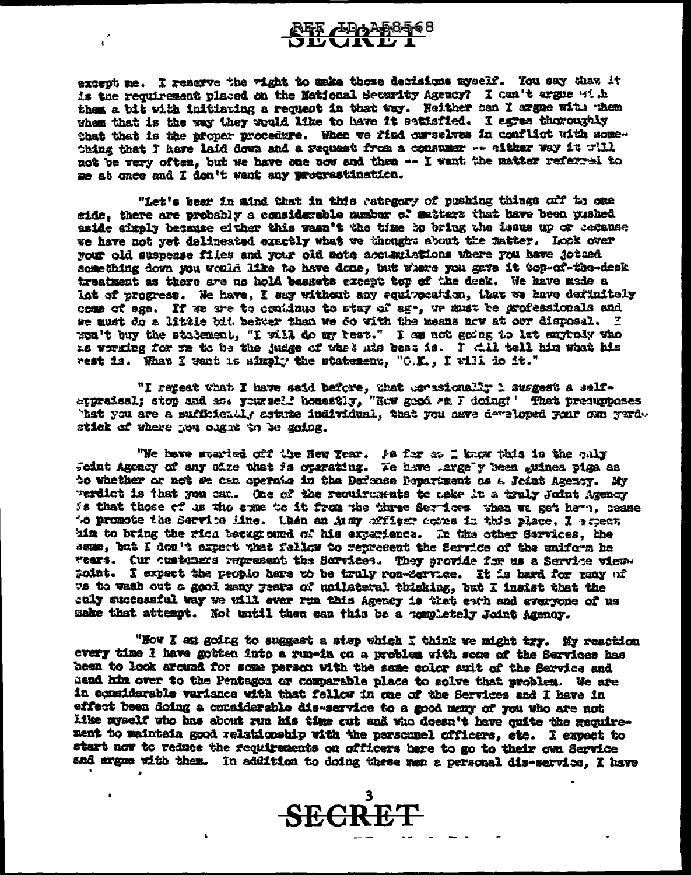## $402^{468568}$

 $\mathbf{C}$ 

except me. I reserve the right to sake those decisions myself. You say that it is the requirement placed on the Mational Security Agency? I can't argue with them a bit with initiating a request in that way. Neither can I argue with whem when that is the way they would like to have it satisfied. I agree thoroughly that that is the proper procedure. When we find curselves in conflict with something that I have laid down and a request from a consumer -- either way it will not be very often, but we have one now and then -- I want the matter referral to me at once and I don't want any procrastination.

"Let's bear in aind that in this category of pushing things off to one mide, there are probably a considerable number of matters that have been pushed aside simply because either this wasn't the time ho bring the issue up or because we have not yet delineated exactly what we thought about the matter. Look over your old suspense files and your old note accumulations where rou have jotted something down you would like to have done, but where you gave it top-of-the-desk treatment as there are no hold bassets except top of the desk. We have made a Lot of progress. We have, I say without any equivocation, that we have definitely come of age. If we are to condinue to stay of age, we must be grofessionals and we must do a little bit betwer than we do with the means now at our disposal. I son't buy the statement, "I will do my rest." I am not going to lat anytoly who is working for me to be the judge of whet his beat is. I will tell him what his rest is. What I want is simply the statement, "O.K., I will do it."

"I repeat what I have said before, that tersionally 1 surgest a self-<br>typraisal; stop and and prunself homestly, "How good am I doing! ' That presupposes hat you are a sufficiently estute individual, that you nave developed your con yurd. stick of where now cagnt to be going.

"We have started off the New Year. As far at I know this is the caly<br>Scint Agency of any size that is operating. Te have largely been guinea piga as to whether or not se can operate in the Defense Pepartment as a Joint Agency. My werdict is that you can. One of the requirements to make in a truly Joint Agency is that those of us who came to it from the three Services when we get here, cease to promote the Service Mine. then an Aumy afficer comes in this place, I espect him to bring the rich betagned of his experience. In the other Services, the same, but I don't expert that fellow to represent the Service of the uniform he wears. Our customers represent the Services. They provide for us a Service viewpoint. I expect the people here to be truly ron-Service. It is herd for many of we to wash out a good many years of unilateral thinking, but I insist that the caly successful way we will ever run this Agency is that each and everyone of us make that attempt. Not until then can this be a completely Joint Agency.

"Now I am going to suggest a step which I think we might try. My reaction every time I have gotten into a run-in on a problem with some of the Services has been to look around for some person with the same color suit of the Service and dend him over to the Pentagon or comparable place to solve that problem. We are in considerable variance with that fellow in one of the Services and I have in effect been doing a considerable dis-service to a good many of you who are not like myself who has about run his time out and who doesn't have quite the gaquirement to maintain good relationship with the personnel officers, etc. I expect to start now to reduce the requirements on officers here to go to their own Service and argue with them. In addition to doing these men a personal dis-service, I have

**SECRET** 

 $\mathbf{r}$